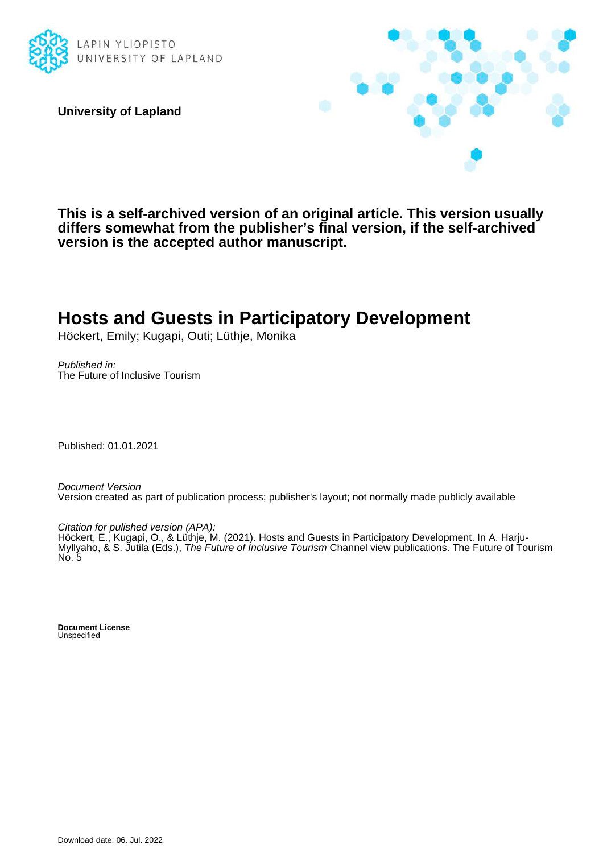

**University of Lapland**



**This is a self-archived version of an original article. This version usually differs somewhat from the publisher's final version, if the self-archived version is the accepted author manuscript.**

# **Hosts and Guests in Participatory Development**

Höckert, Emily; Kugapi, Outi; Lüthje, Monika

Published in: The Future of Inclusive Tourism

Published: 01.01.2021

Document Version Version created as part of publication process; publisher's layout; not normally made publicly available

Citation for pulished version (APA):

Höckert, E., Kugapi, O., & Lüthje, M. (2021). Hosts and Guests in Participatory Development. In A. Harju-Myllyaho, & S. Jutila (Eds.), The Future of Inclusive Tourism Channel view publications. The Future of Tourism No. 5

**Document License** Unspecified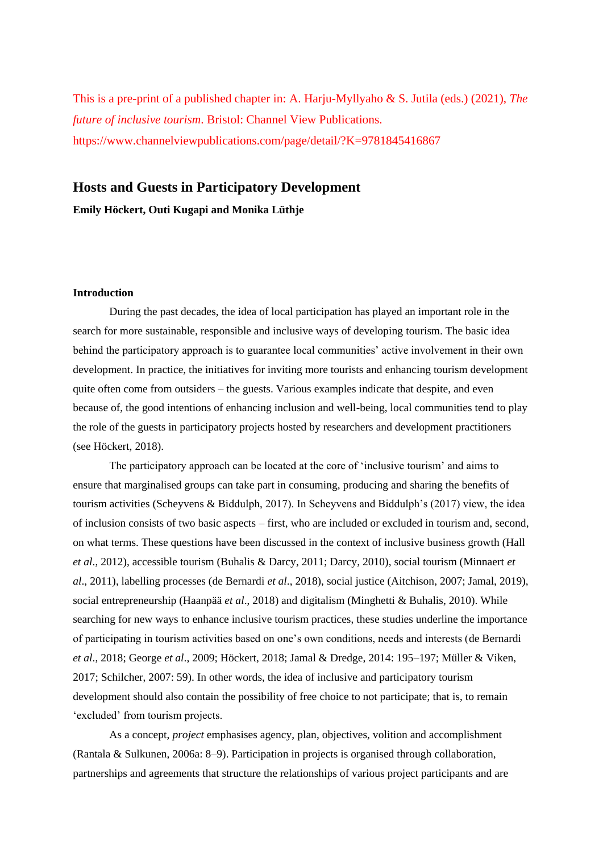This is a pre-print of a published chapter in: A. Harju-Myllyaho & S. Jutila (eds.) (2021), *The future of inclusive tourism*. Bristol: Channel View Publications. https://www.channelviewpublications.com/page/detail/?K=9781845416867

## **Hosts and Guests in Participatory Development**

**Emily Höckert, Outi Kugapi and Monika Lüthje**

#### **Introduction**

During the past decades, the idea of local participation has played an important role in the search for more sustainable, responsible and inclusive ways of developing tourism. The basic idea behind the participatory approach is to guarantee local communities' active involvement in their own development. In practice, the initiatives for inviting more tourists and enhancing tourism development quite often come from outsiders – the guests. Various examples indicate that despite, and even because of, the good intentions of enhancing inclusion and well-being, local communities tend to play the role of the guests in participatory projects hosted by researchers and development practitioners (see Höckert, 2018).

The participatory approach can be located at the core of 'inclusive tourism' and aims to ensure that marginalised groups can take part in consuming, producing and sharing the benefits of tourism activities (Scheyvens & Biddulph, 2017). In Scheyvens and Biddulph's (2017) view, the idea of inclusion consists of two basic aspects – first, who are included or excluded in tourism and, second, on what terms. These questions have been discussed in the context of inclusive business growth (Hall *et al*., 2012), accessible tourism (Buhalis & Darcy, 2011; Darcy, 2010), social tourism (Minnaert *et al*., 2011), labelling processes (de Bernardi *et al*., 2018), social justice (Aitchison, 2007; Jamal, 2019), social entrepreneurship (Haanpää *et al*., 2018) and digitalism (Minghetti & Buhalis, 2010). While searching for new ways to enhance inclusive tourism practices, these studies underline the importance of participating in tourism activities based on one's own conditions, needs and interests (de Bernardi *et al*., 2018; George *et al*., 2009; Höckert, 2018; Jamal & Dredge, 2014: 195–197; Müller & Viken, 2017; Schilcher, 2007: 59). In other words, the idea of inclusive and participatory tourism development should also contain the possibility of free choice to not participate; that is, to remain 'excluded' from tourism projects.

As a concept, *project* emphasises agency, plan, objectives, volition and accomplishment (Rantala & Sulkunen, 2006a: 8–9). Participation in projects is organised through collaboration, partnerships and agreements that structure the relationships of various project participants and are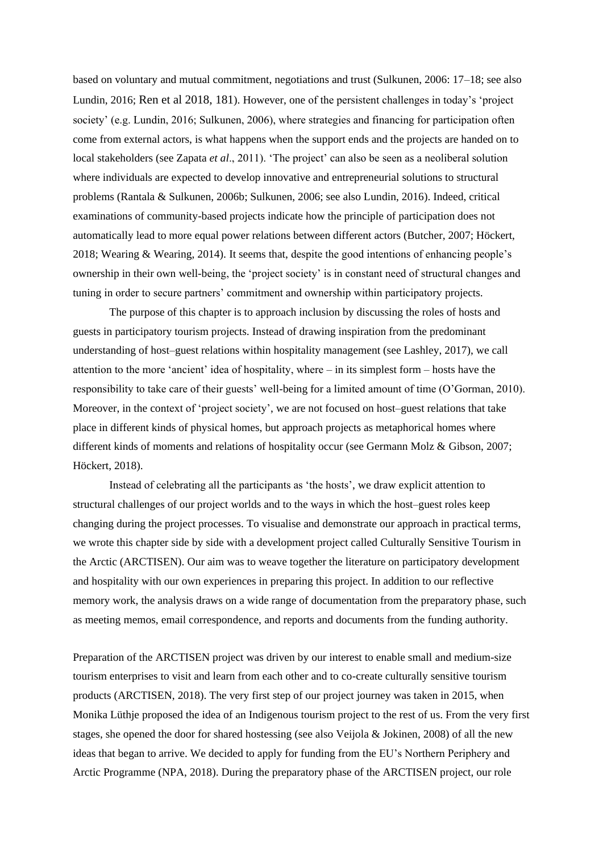based on voluntary and mutual commitment, negotiations and trust (Sulkunen, 2006: 17–18; see also Lundin, 2016; Ren et al 2018, 181). However, one of the persistent challenges in today's 'project society' (e.g. Lundin, 2016; Sulkunen, 2006), where strategies and financing for participation often come from external actors, is what happens when the support ends and the projects are handed on to local stakeholders (see Zapata *et al*., 2011). 'The project' can also be seen as a neoliberal solution where individuals are expected to develop innovative and entrepreneurial solutions to structural problems (Rantala & Sulkunen, 2006b; Sulkunen, 2006; see also Lundin, 2016). Indeed, critical examinations of community-based projects indicate how the principle of participation does not automatically lead to more equal power relations between different actors (Butcher, 2007; Höckert, 2018; Wearing & Wearing, 2014). It seems that, despite the good intentions of enhancing people's ownership in their own well-being, the 'project society' is in constant need of structural changes and tuning in order to secure partners' commitment and ownership within participatory projects.

The purpose of this chapter is to approach inclusion by discussing the roles of hosts and guests in participatory tourism projects. Instead of drawing inspiration from the predominant understanding of host–guest relations within hospitality management (see Lashley, 2017), we call attention to the more 'ancient' idea of hospitality, where – in its simplest form – hosts have the responsibility to take care of their guests' well-being for a limited amount of time (O'Gorman, 2010). Moreover, in the context of 'project society', we are not focused on host–guest relations that take place in different kinds of physical homes, but approach projects as metaphorical homes where different kinds of moments and relations of hospitality occur (see Germann Molz & Gibson, 2007; Höckert, 2018).

Instead of celebrating all the participants as 'the hosts', we draw explicit attention to structural challenges of our project worlds and to the ways in which the host–guest roles keep changing during the project processes. To visualise and demonstrate our approach in practical terms, we wrote this chapter side by side with a development project called Culturally Sensitive Tourism in the Arctic (ARCTISEN). Our aim was to weave together the literature on participatory development and hospitality with our own experiences in preparing this project. In addition to our reflective memory work, the analysis draws on a wide range of documentation from the preparatory phase, such as meeting memos, email correspondence, and reports and documents from the funding authority.

Preparation of the ARCTISEN project was driven by our interest to enable small and medium-size tourism enterprises to visit and learn from each other and to co-create culturally sensitive tourism products (ARCTISEN, 2018). The very first step of our project journey was taken in 2015, when Monika Lüthje proposed the idea of an Indigenous tourism project to the rest of us. From the very first stages, she opened the door for shared hostessing (see also Veijola & Jokinen, 2008) of all the new ideas that began to arrive. We decided to apply for funding from the EU's Northern Periphery and Arctic Programme (NPA, 2018). During the preparatory phase of the ARCTISEN project, our role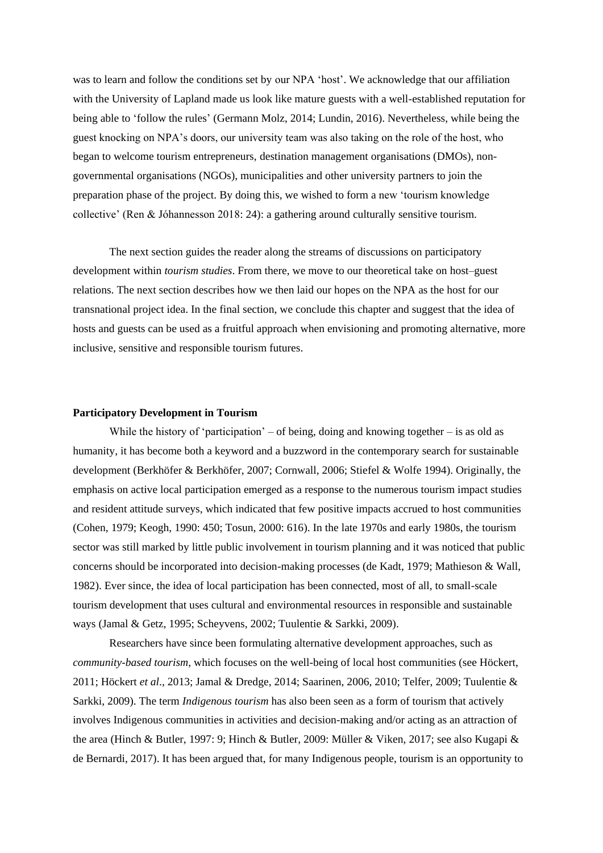was to learn and follow the conditions set by our NPA 'host'. We acknowledge that our affiliation with the University of Lapland made us look like mature guests with a well-established reputation for being able to 'follow the rules' (Germann Molz, 2014; Lundin, 2016). Nevertheless, while being the guest knocking on NPA's doors, our university team was also taking on the role of the host, who began to welcome tourism entrepreneurs, destination management organisations (DMOs), nongovernmental organisations (NGOs), municipalities and other university partners to join the preparation phase of the project. By doing this, we wished to form a new 'tourism knowledge collective' (Ren & Jóhannesson 2018: 24): a gathering around culturally sensitive tourism.

The next section guides the reader along the streams of discussions on participatory development within *tourism studies*. From there, we move to our theoretical take on host–guest relations. The next section describes how we then laid our hopes on the NPA as the host for our transnational project idea. In the final section, we conclude this chapter and suggest that the idea of hosts and guests can be used as a fruitful approach when envisioning and promoting alternative, more inclusive, sensitive and responsible tourism futures.

#### **Participatory Development in Tourism**

While the history of 'participation' – of being, doing and knowing together – is as old as humanity, it has become both a keyword and a buzzword in the contemporary search for sustainable development (Berkhöfer & Berkhöfer, 2007; Cornwall, 2006; Stiefel & Wolfe 1994). Originally, the emphasis on active local participation emerged as a response to the numerous tourism impact studies and resident attitude surveys, which indicated that few positive impacts accrued to host communities (Cohen, 1979; Keogh, 1990: 450; Tosun, 2000: 616). In the late 1970s and early 1980s, the tourism sector was still marked by little public involvement in tourism planning and it was noticed that public concerns should be incorporated into decision-making processes (de Kadt, 1979; Mathieson & Wall, 1982). Ever since, the idea of local participation has been connected, most of all, to small-scale tourism development that uses cultural and environmental resources in responsible and sustainable ways (Jamal & Getz, 1995; Scheyvens, 2002; Tuulentie & Sarkki, 2009).

Researchers have since been formulating alternative development approaches, such as *community-based tourism*, which focuses on the well-being of local host communities (see Höckert, 2011; Höckert *et al*., 2013; Jamal & Dredge, 2014; Saarinen, 2006, 2010; Telfer, 2009; Tuulentie & Sarkki, 2009). The term *Indigenous tourism* has also been seen as a form of tourism that actively involves Indigenous communities in activities and decision-making and/or acting as an attraction of the area (Hinch & Butler, 1997: 9; Hinch & Butler, 2009: Müller & Viken, 2017; see also Kugapi & de Bernardi, 2017). It has been argued that, for many Indigenous people, tourism is an opportunity to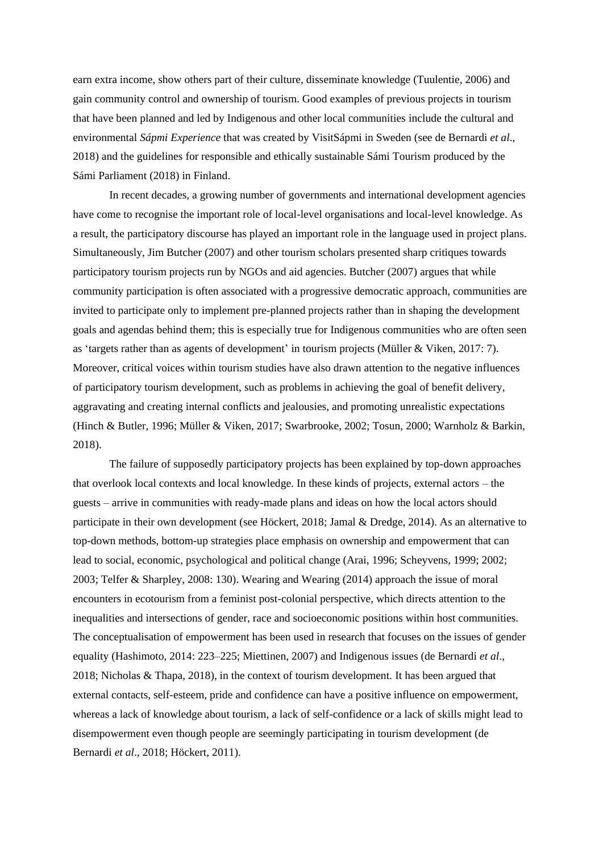earn extra income, show others part of their culture, disseminate knowledge (Tuulentie, 2006) and gain community control and ownership of tourism. Good examples of previous projects in tourism that have been planned and led by Indigenous and other local communities include the cultural and environmental *Sápmi Experience* that was created by VisitSápmi in Sweden (see de Bernardi *et al*., 2018) and the guidelines for responsible and ethically sustainable Sámi Tourism produced by the Sámi Parliament (2018) in Finland.

In recent decades, a growing number of governments and international development agencies have come to recognise the important role of local-level organisations and local-level knowledge. As a result, the participatory discourse has played an important role in the language used in project plans. Simultaneously, Jim Butcher (2007) and other tourism scholars presented sharp critiques towards participatory tourism projects run by NGOs and aid agencies. Butcher (2007) argues that while community participation is often associated with a progressive democratic approach, communities are invited to participate only to implement pre-planned projects rather than in shaping the development goals and agendas behind them; this is especially true for Indigenous communities who are often seen as 'targets rather than as agents of development' in tourism projects (Müller & Viken, 2017: 7). Moreover, critical voices within tourism studies have also drawn attention to the negative influences of participatory tourism development, such as problems in achieving the goal of benefit delivery, aggravating and creating internal conflicts and jealousies, and promoting unrealistic expectations (Hinch & Butler, 1996; Müller & Viken, 2017; Swarbrooke, 2002; Tosun, 2000; Warnholz & Barkin, 2018).

The failure of supposedly participatory projects has been explained by top-down approaches that overlook local contexts and local knowledge. In these kinds of projects, external actors – the guests – arrive in communities with ready-made plans and ideas on how the local actors should participate in their own development (see Höckert, 2018; Jamal & Dredge, 2014). As an alternative to top-down methods, bottom-up strategies place emphasis on ownership and empowerment that can lead to social, economic, psychological and political change (Arai, 1996; Scheyvens, 1999; 2002; 2003; Telfer & Sharpley, 2008: 130). Wearing and Wearing (2014) approach the issue of moral encounters in ecotourism from a feminist post-colonial perspective, which directs attention to the inequalities and intersections of gender, race and socioeconomic positions within host communities. The conceptualisation of empowerment has been used in research that focuses on the issues of gender equality (Hashimoto, 2014: 223–225; Miettinen, 2007) and Indigenous issues (de Bernardi *et al*., 2018; Nicholas & Thapa, 2018), in the context of tourism development. It has been argued that external contacts, self-esteem, pride and confidence can have a positive influence on empowerment, whereas a lack of knowledge about tourism, a lack of self-confidence or a lack of skills might lead to disempowerment even though people are seemingly participating in tourism development (de Bernardi *et al*., 2018; Höckert, 2011).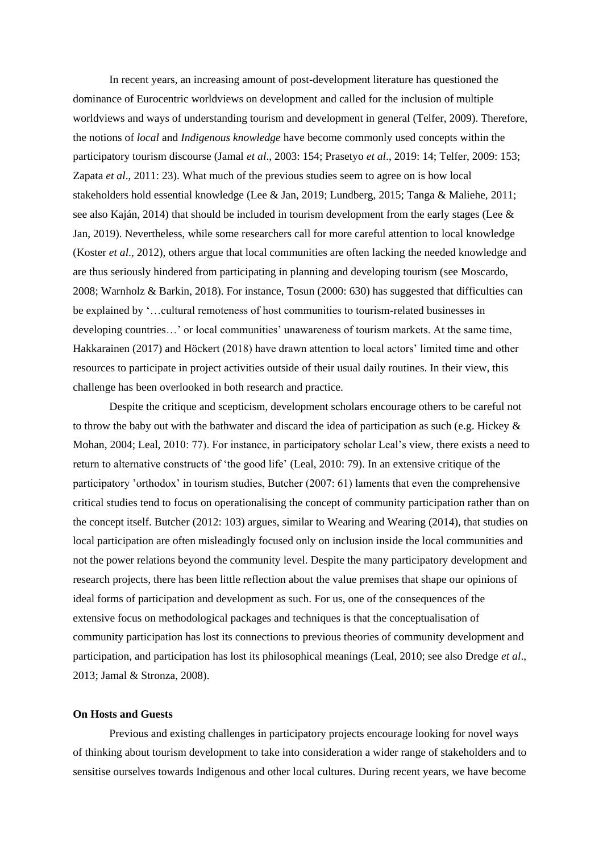In recent years, an increasing amount of post-development literature has questioned the dominance of Eurocentric worldviews on development and called for the inclusion of multiple worldviews and ways of understanding tourism and development in general (Telfer, 2009). Therefore, the notions of *local* and *Indigenous knowledge* have become commonly used concepts within the participatory tourism discourse (Jamal *et al*., 2003: 154; Prasetyo *et al*., 2019: 14; Telfer, 2009: 153; Zapata *et al*., 2011: 23). What much of the previous studies seem to agree on is how local stakeholders hold essential knowledge (Lee & Jan, 2019; Lundberg, 2015; Tanga & Maliehe, 2011; see also Kaján, 2014) that should be included in tourism development from the early stages (Lee & Jan, 2019). Nevertheless, while some researchers call for more careful attention to local knowledge (Koster *et al*., 2012), others argue that local communities are often lacking the needed knowledge and are thus seriously hindered from participating in planning and developing tourism (see Moscardo, 2008; Warnholz & Barkin, 2018). For instance, Tosun (2000: 630) has suggested that difficulties can be explained by '…cultural remoteness of host communities to tourism-related businesses in developing countries…' or local communities' unawareness of tourism markets. At the same time, Hakkarainen (2017) and Höckert (2018) have drawn attention to local actors' limited time and other resources to participate in project activities outside of their usual daily routines. In their view, this challenge has been overlooked in both research and practice.

Despite the critique and scepticism, development scholars encourage others to be careful not to throw the baby out with the bathwater and discard the idea of participation as such (e.g. Hickey  $\&$ Mohan, 2004; Leal, 2010: 77). For instance, in participatory scholar Leal's view, there exists a need to return to alternative constructs of 'the good life' (Leal, 2010: 79). In an extensive critique of the participatory 'orthodox' in tourism studies, Butcher (2007: 61) laments that even the comprehensive critical studies tend to focus on operationalising the concept of community participation rather than on the concept itself. Butcher (2012: 103) argues, similar to Wearing and Wearing (2014), that studies on local participation are often misleadingly focused only on inclusion inside the local communities and not the power relations beyond the community level. Despite the many participatory development and research projects, there has been little reflection about the value premises that shape our opinions of ideal forms of participation and development as such. For us, one of the consequences of the extensive focus on methodological packages and techniques is that the conceptualisation of community participation has lost its connections to previous theories of community development and participation, and participation has lost its philosophical meanings (Leal, 2010; see also Dredge *et al*., 2013; Jamal & Stronza, 2008).

#### **On Hosts and Guests**

Previous and existing challenges in participatory projects encourage looking for novel ways of thinking about tourism development to take into consideration a wider range of stakeholders and to sensitise ourselves towards Indigenous and other local cultures. During recent years, we have become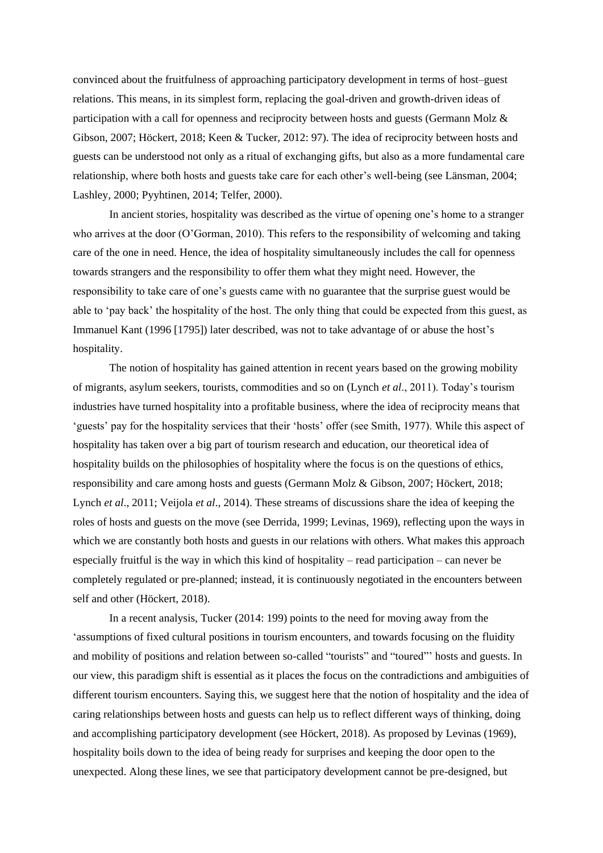convinced about the fruitfulness of approaching participatory development in terms of host–guest relations. This means, in its simplest form, replacing the goal-driven and growth-driven ideas of participation with a call for openness and reciprocity between hosts and guests (Germann Molz & Gibson, 2007; Höckert, 2018; Keen & Tucker, 2012: 97). The idea of reciprocity between hosts and guests can be understood not only as a ritual of exchanging gifts, but also as a more fundamental care relationship, where both hosts and guests take care for each other's well-being (see Länsman, 2004; Lashley, 2000; Pyyhtinen, 2014; Telfer, 2000).

In ancient stories, hospitality was described as the virtue of opening one's home to a stranger who arrives at the door (O'Gorman, 2010). This refers to the responsibility of welcoming and taking care of the one in need. Hence, the idea of hospitality simultaneously includes the call for openness towards strangers and the responsibility to offer them what they might need. However, the responsibility to take care of one's guests came with no guarantee that the surprise guest would be able to 'pay back' the hospitality of the host. The only thing that could be expected from this guest, as Immanuel Kant (1996 [1795]) later described, was not to take advantage of or abuse the host's hospitality.

The notion of hospitality has gained attention in recent years based on the growing mobility of migrants, asylum seekers, tourists, commodities and so on (Lynch *et al*., 2011). Today's tourism industries have turned hospitality into a profitable business, where the idea of reciprocity means that 'guests' pay for the hospitality services that their 'hosts' offer (see Smith, 1977). While this aspect of hospitality has taken over a big part of tourism research and education, our theoretical idea of hospitality builds on the philosophies of hospitality where the focus is on the questions of ethics, responsibility and care among hosts and guests (Germann Molz & Gibson, 2007; Höckert, 2018; Lynch *et al*., 2011; Veijola *et al*., 2014). These streams of discussions share the idea of keeping the roles of hosts and guests on the move (see Derrida, 1999; Levinas, 1969), reflecting upon the ways in which we are constantly both hosts and guests in our relations with others. What makes this approach especially fruitful is the way in which this kind of hospitality – read participation – can never be completely regulated or pre-planned; instead, it is continuously negotiated in the encounters between self and other (Höckert, 2018).

In a recent analysis, Tucker (2014: 199) points to the need for moving away from the 'assumptions of fixed cultural positions in tourism encounters, and towards focusing on the fluidity and mobility of positions and relation between so-called "tourists" and "toured"' hosts and guests. In our view, this paradigm shift is essential as it places the focus on the contradictions and ambiguities of different tourism encounters. Saying this, we suggest here that the notion of hospitality and the idea of caring relationships between hosts and guests can help us to reflect different ways of thinking, doing and accomplishing participatory development (see Höckert, 2018). As proposed by Levinas (1969), hospitality boils down to the idea of being ready for surprises and keeping the door open to the unexpected. Along these lines, we see that participatory development cannot be pre-designed, but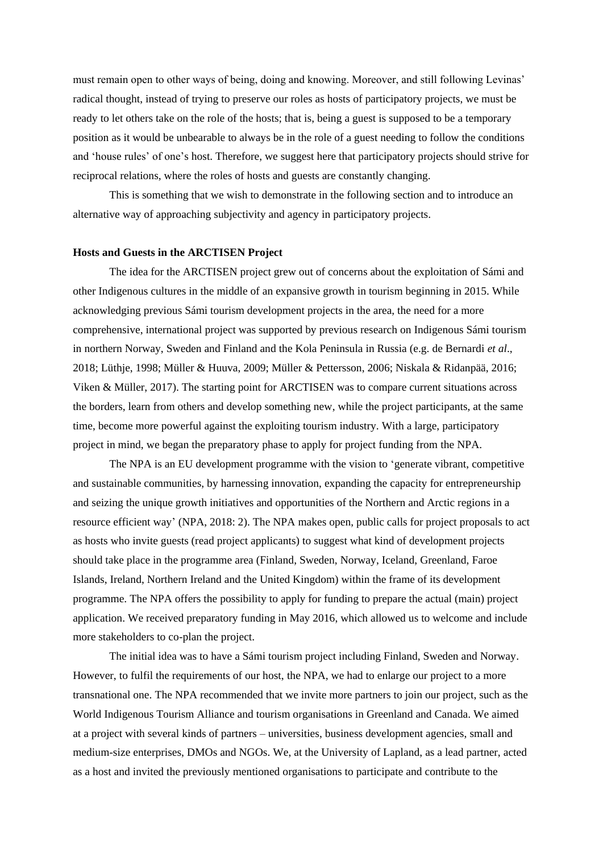must remain open to other ways of being, doing and knowing. Moreover, and still following Levinas' radical thought, instead of trying to preserve our roles as hosts of participatory projects, we must be ready to let others take on the role of the hosts; that is, being a guest is supposed to be a temporary position as it would be unbearable to always be in the role of a guest needing to follow the conditions and 'house rules' of one's host. Therefore, we suggest here that participatory projects should strive for reciprocal relations, where the roles of hosts and guests are constantly changing.

This is something that we wish to demonstrate in the following section and to introduce an alternative way of approaching subjectivity and agency in participatory projects.

#### **Hosts and Guests in the ARCTISEN Project**

The idea for the ARCTISEN project grew out of concerns about the exploitation of Sámi and other Indigenous cultures in the middle of an expansive growth in tourism beginning in 2015. While acknowledging previous Sámi tourism development projects in the area, the need for a more comprehensive, international project was supported by previous research on Indigenous Sámi tourism in northern Norway, Sweden and Finland and the Kola Peninsula in Russia (e.g. de Bernardi *et al*., 2018; Lüthje, 1998; Müller & Huuva, 2009; Müller & Pettersson, 2006; Niskala & Ridanpää, 2016; Viken & Müller, 2017). The starting point for ARCTISEN was to compare current situations across the borders, learn from others and develop something new, while the project participants, at the same time, become more powerful against the exploiting tourism industry. With a large, participatory project in mind, we began the preparatory phase to apply for project funding from the NPA.

The NPA is an EU development programme with the vision to 'generate vibrant, competitive and sustainable communities, by harnessing innovation, expanding the capacity for entrepreneurship and seizing the unique growth initiatives and opportunities of the Northern and Arctic regions in a resource efficient way' (NPA, 2018: 2). The NPA makes open, public calls for project proposals to act as hosts who invite guests (read project applicants) to suggest what kind of development projects should take place in the programme area (Finland, Sweden, Norway, Iceland, Greenland, Faroe Islands, Ireland, Northern Ireland and the United Kingdom) within the frame of its development programme. The NPA offers the possibility to apply for funding to prepare the actual (main) project application. We received preparatory funding in May 2016, which allowed us to welcome and include more stakeholders to co-plan the project.

The initial idea was to have a Sámi tourism project including Finland, Sweden and Norway. However, to fulfil the requirements of our host, the NPA, we had to enlarge our project to a more transnational one. The NPA recommended that we invite more partners to join our project, such as the World Indigenous Tourism Alliance and tourism organisations in Greenland and Canada. We aimed at a project with several kinds of partners – universities, business development agencies, small and medium-size enterprises, DMOs and NGOs. We, at the University of Lapland, as a lead partner, acted as a host and invited the previously mentioned organisations to participate and contribute to the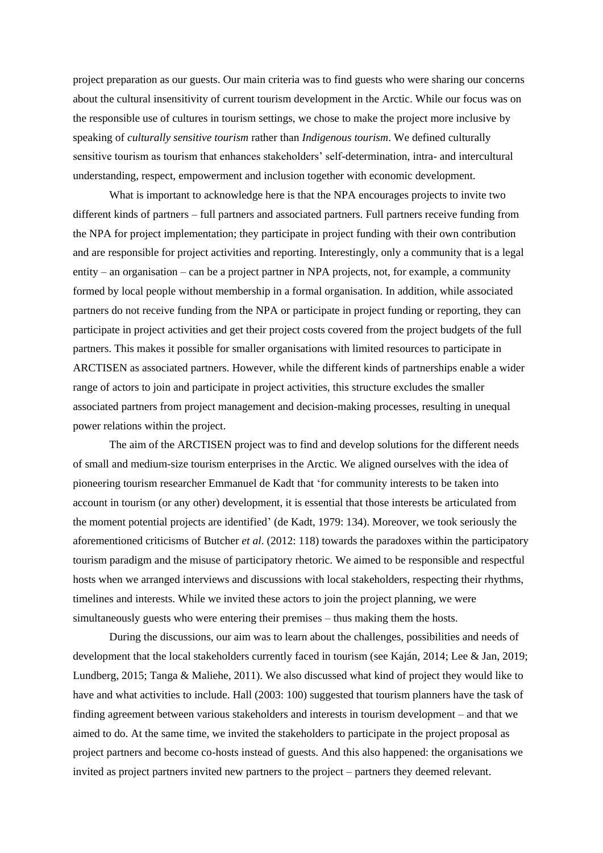project preparation as our guests. Our main criteria was to find guests who were sharing our concerns about the cultural insensitivity of current tourism development in the Arctic. While our focus was on the responsible use of cultures in tourism settings, we chose to make the project more inclusive by speaking of *culturally sensitive tourism* rather than *Indigenous tourism*. We defined culturally sensitive tourism as tourism that enhances stakeholders' self-determination, intra- and intercultural understanding, respect, empowerment and inclusion together with economic development.

What is important to acknowledge here is that the NPA encourages projects to invite two different kinds of partners – full partners and associated partners. Full partners receive funding from the NPA for project implementation; they participate in project funding with their own contribution and are responsible for project activities and reporting. Interestingly, only a community that is a legal entity – an organisation – can be a project partner in NPA projects, not, for example, a community formed by local people without membership in a formal organisation. In addition, while associated partners do not receive funding from the NPA or participate in project funding or reporting, they can participate in project activities and get their project costs covered from the project budgets of the full partners. This makes it possible for smaller organisations with limited resources to participate in ARCTISEN as associated partners. However, while the different kinds of partnerships enable a wider range of actors to join and participate in project activities, this structure excludes the smaller associated partners from project management and decision-making processes, resulting in unequal power relations within the project.

The aim of the ARCTISEN project was to find and develop solutions for the different needs of small and medium-size tourism enterprises in the Arctic. We aligned ourselves with the idea of pioneering tourism researcher Emmanuel de Kadt that 'for community interests to be taken into account in tourism (or any other) development, it is essential that those interests be articulated from the moment potential projects are identified' (de Kadt, 1979: 134). Moreover, we took seriously the aforementioned criticisms of Butcher *et al*. (2012: 118) towards the paradoxes within the participatory tourism paradigm and the misuse of participatory rhetoric. We aimed to be responsible and respectful hosts when we arranged interviews and discussions with local stakeholders, respecting their rhythms, timelines and interests. While we invited these actors to join the project planning, we were simultaneously guests who were entering their premises – thus making them the hosts.

During the discussions, our aim was to learn about the challenges, possibilities and needs of development that the local stakeholders currently faced in tourism (see Kaján, 2014; Lee & Jan, 2019; Lundberg, 2015; Tanga & Maliehe, 2011). We also discussed what kind of project they would like to have and what activities to include. Hall (2003: 100) suggested that tourism planners have the task of finding agreement between various stakeholders and interests in tourism development – and that we aimed to do. At the same time, we invited the stakeholders to participate in the project proposal as project partners and become co-hosts instead of guests. And this also happened: the organisations we invited as project partners invited new partners to the project – partners they deemed relevant.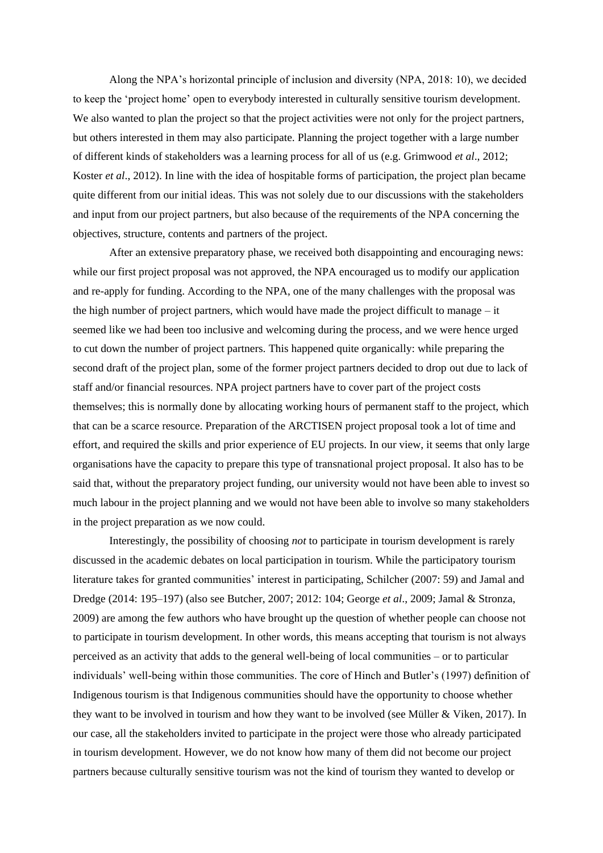Along the NPA's horizontal principle of inclusion and diversity (NPA, 2018: 10), we decided to keep the 'project home' open to everybody interested in culturally sensitive tourism development. We also wanted to plan the project so that the project activities were not only for the project partners, but others interested in them may also participate. Planning the project together with a large number of different kinds of stakeholders was a learning process for all of us (e.g. Grimwood *et al*., 2012; Koster *et al*., 2012). In line with the idea of hospitable forms of participation, the project plan became quite different from our initial ideas. This was not solely due to our discussions with the stakeholders and input from our project partners, but also because of the requirements of the NPA concerning the objectives, structure, contents and partners of the project.

After an extensive preparatory phase, we received both disappointing and encouraging news: while our first project proposal was not approved, the NPA encouraged us to modify our application and re-apply for funding. According to the NPA, one of the many challenges with the proposal was the high number of project partners, which would have made the project difficult to manage – it seemed like we had been too inclusive and welcoming during the process, and we were hence urged to cut down the number of project partners. This happened quite organically: while preparing the second draft of the project plan, some of the former project partners decided to drop out due to lack of staff and/or financial resources. NPA project partners have to cover part of the project costs themselves; this is normally done by allocating working hours of permanent staff to the project, which that can be a scarce resource. Preparation of the ARCTISEN project proposal took a lot of time and effort, and required the skills and prior experience of EU projects. In our view, it seems that only large organisations have the capacity to prepare this type of transnational project proposal. It also has to be said that, without the preparatory project funding, our university would not have been able to invest so much labour in the project planning and we would not have been able to involve so many stakeholders in the project preparation as we now could.

Interestingly, the possibility of choosing *not* to participate in tourism development is rarely discussed in the academic debates on local participation in tourism. While the participatory tourism literature takes for granted communities' interest in participating, Schilcher (2007: 59) and Jamal and Dredge (2014: 195–197) (also see Butcher, 2007; 2012: 104; George *et al*., 2009; Jamal & Stronza, 2009) are among the few authors who have brought up the question of whether people can choose not to participate in tourism development. In other words, this means accepting that tourism is not always perceived as an activity that adds to the general well-being of local communities – or to particular individuals' well-being within those communities. The core of Hinch and Butler's (1997) definition of Indigenous tourism is that Indigenous communities should have the opportunity to choose whether they want to be involved in tourism and how they want to be involved (see Müller & Viken, 2017). In our case, all the stakeholders invited to participate in the project were those who already participated in tourism development. However, we do not know how many of them did not become our project partners because culturally sensitive tourism was not the kind of tourism they wanted to develop or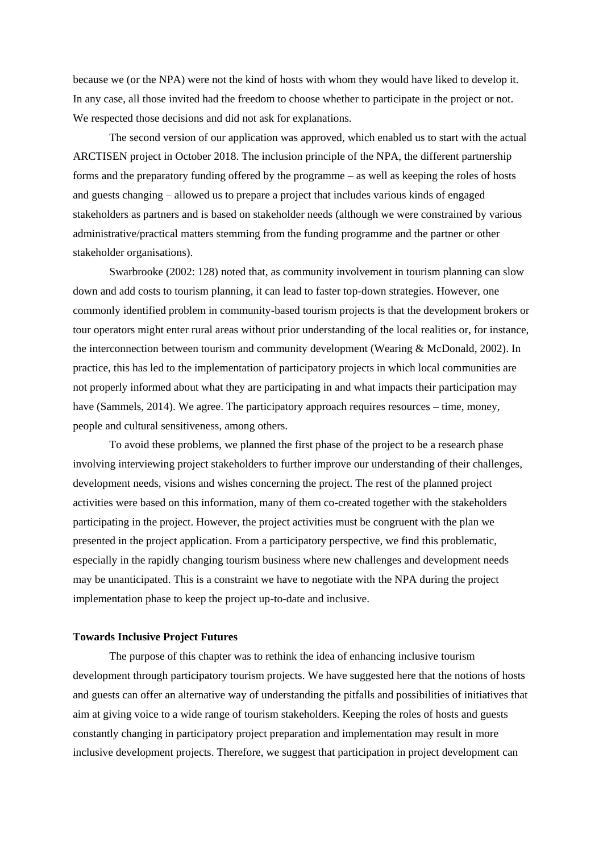because we (or the NPA) were not the kind of hosts with whom they would have liked to develop it. In any case, all those invited had the freedom to choose whether to participate in the project or not. We respected those decisions and did not ask for explanations.

The second version of our application was approved, which enabled us to start with the actual ARCTISEN project in October 2018. The inclusion principle of the NPA, the different partnership forms and the preparatory funding offered by the programme – as well as keeping the roles of hosts and guests changing – allowed us to prepare a project that includes various kinds of engaged stakeholders as partners and is based on stakeholder needs (although we were constrained by various administrative/practical matters stemming from the funding programme and the partner or other stakeholder organisations).

Swarbrooke (2002: 128) noted that, as community involvement in tourism planning can slow down and add costs to tourism planning, it can lead to faster top-down strategies. However, one commonly identified problem in community-based tourism projects is that the development brokers or tour operators might enter rural areas without prior understanding of the local realities or, for instance, the interconnection between tourism and community development (Wearing & McDonald, 2002). In practice, this has led to the implementation of participatory projects in which local communities are not properly informed about what they are participating in and what impacts their participation may have (Sammels, 2014). We agree. The participatory approach requires resources – time, money, people and cultural sensitiveness, among others.

To avoid these problems, we planned the first phase of the project to be a research phase involving interviewing project stakeholders to further improve our understanding of their challenges, development needs, visions and wishes concerning the project. The rest of the planned project activities were based on this information, many of them co-created together with the stakeholders participating in the project. However, the project activities must be congruent with the plan we presented in the project application. From a participatory perspective, we find this problematic, especially in the rapidly changing tourism business where new challenges and development needs may be unanticipated. This is a constraint we have to negotiate with the NPA during the project implementation phase to keep the project up-to-date and inclusive.

### **Towards Inclusive Project Futures**

The purpose of this chapter was to rethink the idea of enhancing inclusive tourism development through participatory tourism projects. We have suggested here that the notions of hosts and guests can offer an alternative way of understanding the pitfalls and possibilities of initiatives that aim at giving voice to a wide range of tourism stakeholders. Keeping the roles of hosts and guests constantly changing in participatory project preparation and implementation may result in more inclusive development projects. Therefore, we suggest that participation in project development can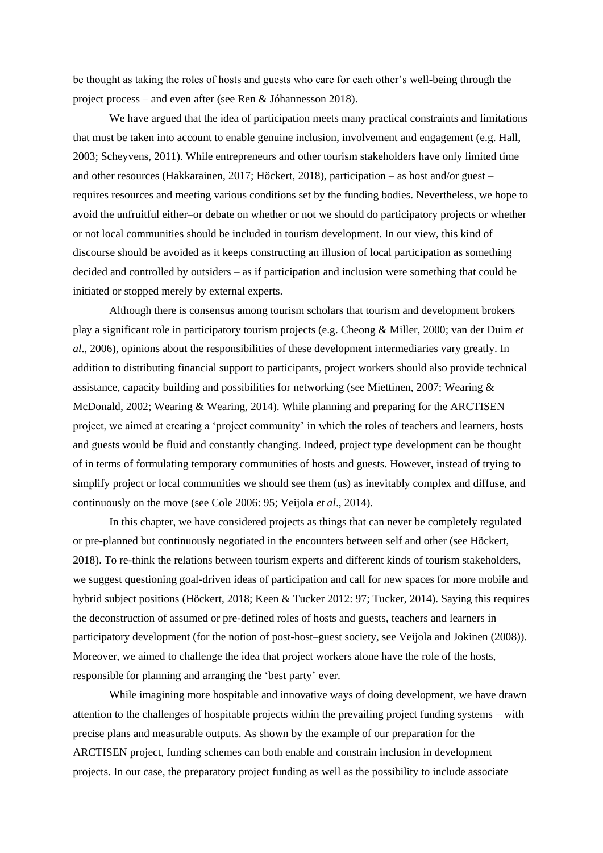be thought as taking the roles of hosts and guests who care for each other's well-being through the project process – and even after (see Ren & Jóhannesson 2018).

We have argued that the idea of participation meets many practical constraints and limitations that must be taken into account to enable genuine inclusion, involvement and engagement (e.g. Hall, 2003; Scheyvens, 2011). While entrepreneurs and other tourism stakeholders have only limited time and other resources (Hakkarainen, 2017; Höckert, 2018), participation – as host and/or guest – requires resources and meeting various conditions set by the funding bodies. Nevertheless, we hope to avoid the unfruitful either–or debate on whether or not we should do participatory projects or whether or not local communities should be included in tourism development. In our view, this kind of discourse should be avoided as it keeps constructing an illusion of local participation as something decided and controlled by outsiders – as if participation and inclusion were something that could be initiated or stopped merely by external experts.

Although there is consensus among tourism scholars that tourism and development brokers play a significant role in participatory tourism projects (e.g. Cheong & Miller, 2000; van der Duim *et al*., 2006), opinions about the responsibilities of these development intermediaries vary greatly. In addition to distributing financial support to participants, project workers should also provide technical assistance, capacity building and possibilities for networking (see Miettinen, 2007; Wearing & McDonald, 2002; Wearing & Wearing, 2014). While planning and preparing for the ARCTISEN project, we aimed at creating a 'project community' in which the roles of teachers and learners, hosts and guests would be fluid and constantly changing. Indeed, project type development can be thought of in terms of formulating temporary communities of hosts and guests. However, instead of trying to simplify project or local communities we should see them (us) as inevitably complex and diffuse, and continuously on the move (see Cole 2006: 95; Veijola *et al*., 2014).

In this chapter, we have considered projects as things that can never be completely regulated or pre-planned but continuously negotiated in the encounters between self and other (see Höckert, 2018). To re-think the relations between tourism experts and different kinds of tourism stakeholders, we suggest questioning goal-driven ideas of participation and call for new spaces for more mobile and hybrid subject positions (Höckert, 2018; Keen & Tucker 2012: 97; Tucker, 2014). Saying this requires the deconstruction of assumed or pre-defined roles of hosts and guests, teachers and learners in participatory development (for the notion of post-host–guest society, see Veijola and Jokinen (2008)). Moreover, we aimed to challenge the idea that project workers alone have the role of the hosts, responsible for planning and arranging the 'best party' ever.

While imagining more hospitable and innovative ways of doing development, we have drawn attention to the challenges of hospitable projects within the prevailing project funding systems – with precise plans and measurable outputs. As shown by the example of our preparation for the ARCTISEN project, funding schemes can both enable and constrain inclusion in development projects. In our case, the preparatory project funding as well as the possibility to include associate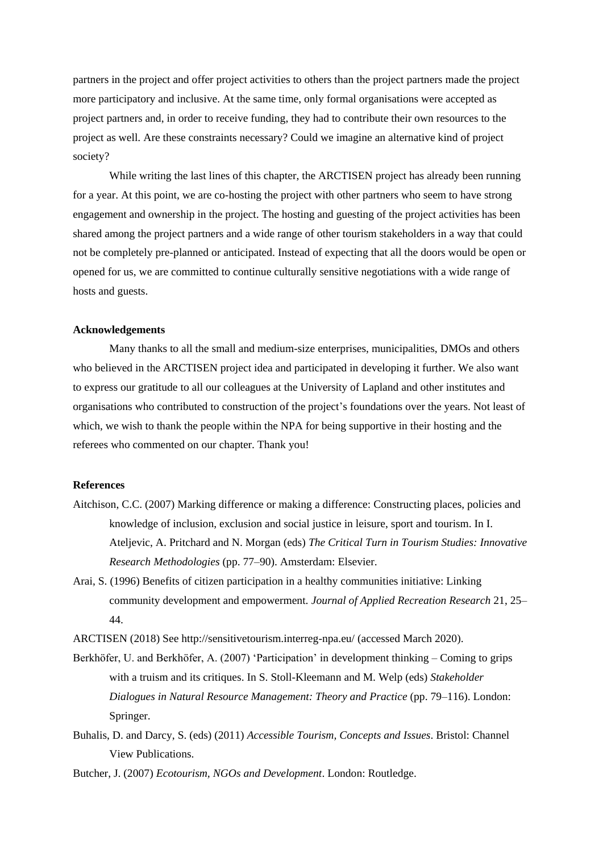partners in the project and offer project activities to others than the project partners made the project more participatory and inclusive. At the same time, only formal organisations were accepted as project partners and, in order to receive funding, they had to contribute their own resources to the project as well. Are these constraints necessary? Could we imagine an alternative kind of project society?

While writing the last lines of this chapter, the ARCTISEN project has already been running for a year. At this point, we are co-hosting the project with other partners who seem to have strong engagement and ownership in the project. The hosting and guesting of the project activities has been shared among the project partners and a wide range of other tourism stakeholders in a way that could not be completely pre-planned or anticipated. Instead of expecting that all the doors would be open or opened for us, we are committed to continue culturally sensitive negotiations with a wide range of hosts and guests.

#### **Acknowledgements**

Many thanks to all the small and medium-size enterprises, municipalities, DMOs and others who believed in the ARCTISEN project idea and participated in developing it further. We also want to express our gratitude to all our colleagues at the University of Lapland and other institutes and organisations who contributed to construction of the project's foundations over the years. Not least of which, we wish to thank the people within the NPA for being supportive in their hosting and the referees who commented on our chapter. Thank you!

#### **References**

- Aitchison, C.C. (2007) Marking difference or making a difference: Constructing places, policies and knowledge of inclusion, exclusion and social justice in leisure, sport and tourism. In I. Ateljevic, A. Pritchard and N. Morgan (eds) *The Critical Turn in Tourism Studies: Innovative Research Methodologies* (pp. 77–90). Amsterdam: Elsevier.
- Arai, S. (1996) Benefits of citizen participation in a healthy communities initiative: Linking community development and empowerment. *Journal of Applied Recreation Research* 21, 25– 44.
- ARCTISEN (2018) See<http://sensitivetourism.interreg-npa.eu/> (accessed March 2020).
- Berkhöfer, U. and Berkhöfer, A. (2007) 'Participation' in development thinking Coming to grips with a truism and its critiques. In S. Stoll-Kleemann and M. Welp (eds) *Stakeholder Dialogues in Natural Resource Management: Theory and Practice* (pp. 79–116). London: Springer.
- Buhalis, D. and Darcy, S. (eds) (2011) *Accessible Tourism, Concepts and Issues*. Bristol: Channel View Publications.

Butcher, J. (2007) *Ecotourism, NGOs and Development*. London: Routledge.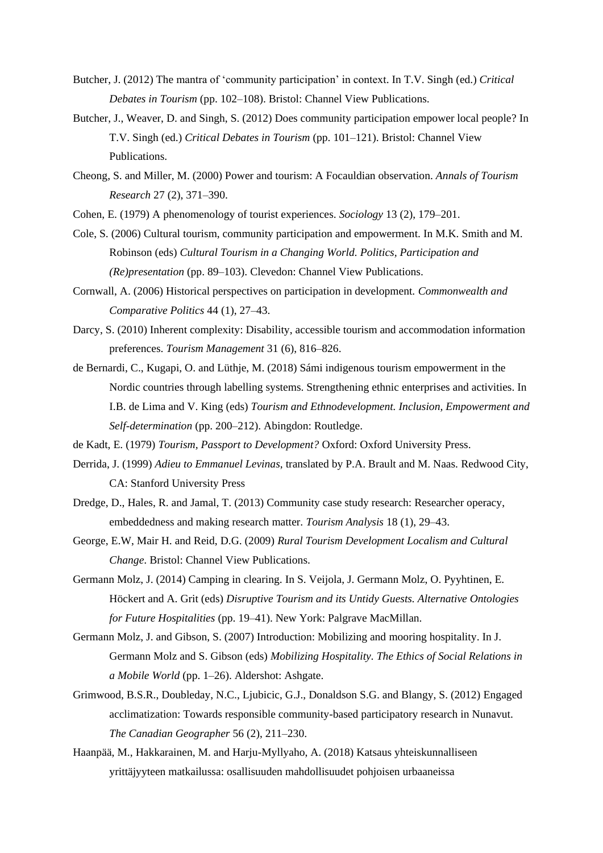- Butcher, J. (2012) The mantra of 'community participation' in context. In T.V. Singh (ed.) *Critical Debates in Tourism* (pp. 102–108). Bristol: Channel View Publications.
- Butcher, J., Weaver, D. and Singh, S. (2012) Does community participation empower local people? In T.V. Singh (ed.) *Critical Debates in Tourism* (pp. 101–121). Bristol: Channel View Publications.
- Cheong, S. and Miller, M. (2000) Power and tourism: A Focauldian observation. *Annals of Tourism Research* 27 (2), 371–390.
- Cohen, E. (1979) A phenomenology of tourist experiences. *Sociology* 13 (2), 179–201.
- Cole, S. (2006) Cultural tourism, community participation and empowerment. In M.K. Smith and M. Robinson (eds) *Cultural Tourism in a Changing World. Politics, Participation and (Re)presentation* (pp. 89–103). Clevedon: Channel View Publications.
- Cornwall, A. (2006) Historical perspectives on participation in development. *Commonwealth and Comparative Politics* 44 (1), 27–43.
- Darcy, S. (2010) Inherent complexity: Disability, accessible tourism and accommodation information preferences. *Tourism Management* 31 (6), 816–826.
- de Bernardi, C., Kugapi, O. and Lüthje, M. (2018) Sámi indigenous tourism empowerment in the Nordic countries through labelling systems. Strengthening ethnic enterprises and activities. In I.B. de Lima and V. King (eds) *Tourism and Ethnodevelopment. Inclusion, Empowerment and Self-determination* (pp. 200–212). Abingdon: Routledge.
- de Kadt, E. (1979) *Tourism, Passport to Development?* Oxford: Oxford University Press.
- Derrida, J. (1999) *Adieu to Emmanuel Levinas*, translated by P.A. Brault and M. Naas. Redwood City, CA: Stanford University Press
- Dredge, D., Hales, R. and Jamal, T. (2013) Community case study research: Researcher operacy, embeddedness and making research matter. *Tourism Analysis* 18 (1), 29–43.
- George, E.W, Mair H. and Reid, D.G. (2009) *Rural Tourism Development Localism and Cultural Change*. Bristol: Channel View Publications.
- Germann Molz, J. (2014) Camping in clearing. In S. Veijola, J. Germann Molz, O. Pyyhtinen, E. Höckert and A. Grit (eds) *Disruptive Tourism and its Untidy Guests. Alternative Ontologies for Future Hospitalities* (pp. 19–41). New York: Palgrave MacMillan.
- Germann Molz, J. and Gibson, S. (2007) Introduction: Mobilizing and mooring hospitality. In J. Germann Molz and S. Gibson (eds) *Mobilizing Hospitality. The Ethics of Social Relations in a Mobile World* (pp. 1–26). Aldershot: Ashgate.
- Grimwood, B.S.R., Doubleday, N.C., Ljubicic, G.J., Donaldson S.G. and Blangy, S. (2012) Engaged acclimatization: Towards responsible community-based participatory research in Nunavut. *The Canadian Geographer* 56 (2), 211–230.
- Haanpää, M., Hakkarainen, M. and Harju-Myllyaho, A. (2018) Katsaus yhteiskunnalliseen yrittäjyyteen matkailussa: osallisuuden mahdollisuudet pohjoisen urbaaneissa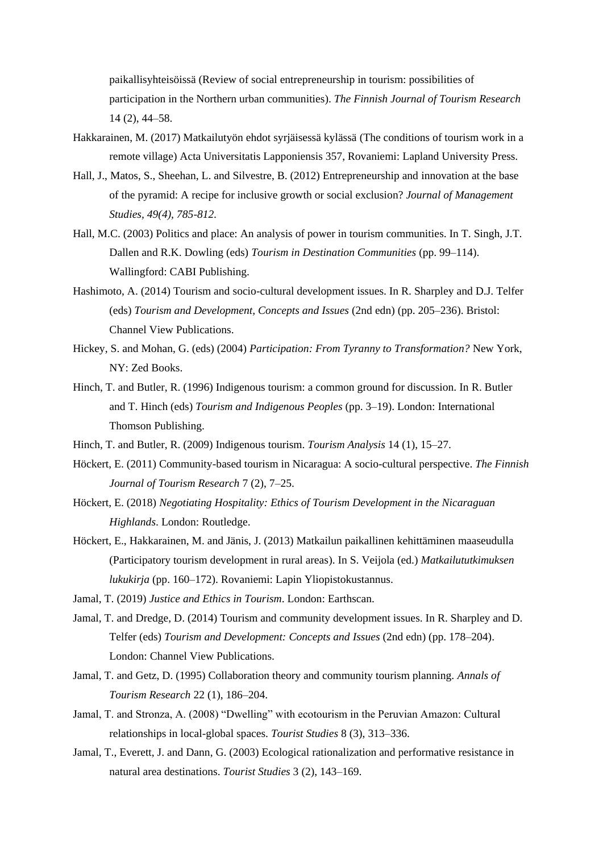paikallisyhteisöissä (Review of social entrepreneurship in tourism: possibilities of participation in the Northern urban communities). *The Finnish Journal of Tourism Research* 14 (2), 44–58.

- Hakkarainen, M. (2017) Matkailutyön ehdot syrjäisessä kylässä (The conditions of tourism work in a remote village) Acta Universitatis Lapponiensis 357, Rovaniemi: Lapland University Press.
- Hall, J., Matos, S., Sheehan, L. and Silvestre, B. (2012) Entrepreneurship and innovation at the base of the pyramid: A recipe for inclusive growth or social exclusion? *Journal of Management Studies, 49(4), 785-812.*
- Hall, M.C. (2003) Politics and place: An analysis of power in tourism communities. In T. Singh, J.T. Dallen and R.K. Dowling (eds) *Tourism in Destination Communities* (pp. 99–114). Wallingford: CABI Publishing.
- Hashimoto, A. (2014) Tourism and socio-cultural development issues. In R. Sharpley and D.J. Telfer (eds) *Tourism and Development, Concepts and Issues* (2nd edn) (pp. 205–236). Bristol: Channel View Publications.
- Hickey, S. and Mohan, G. (eds) (2004) *Participation: From Tyranny to Transformation?* New York, NY: Zed Books.
- Hinch, T. and Butler, R. (1996) Indigenous tourism: a common ground for discussion. In R. Butler and T. Hinch (eds) *Tourism and Indigenous Peoples* (pp. 3–19). London: International Thomson Publishing.
- Hinch, T. and Butler, R. (2009) Indigenous tourism. *Tourism Analysis* 14 (1), 15–27.
- Höckert, E. (2011) Community-based tourism in Nicaragua: A socio-cultural perspective. *The Finnish Journal of Tourism Research* 7 (2), 7–25.
- Höckert, E. (2018) *Negotiating Hospitality: Ethics of Tourism Development in the Nicaraguan Highlands*. London: Routledge.
- Höckert, E., Hakkarainen, M. and Jänis, J. (2013) Matkailun paikallinen kehittäminen maaseudulla (Participatory tourism development in rural areas). In S. Veijola (ed.) *Matkailututkimuksen lukukirja* (pp. 160–172). Rovaniemi: Lapin Yliopistokustannus.
- Jamal, T. (2019) *Justice and Ethics in Tourism*. London: Earthscan.
- Jamal, T. and Dredge, D. (2014) Tourism and community development issues. In R. Sharpley and D. Telfer (eds) *Tourism and Development: Concepts and Issues* (2nd edn) (pp. 178–204). London: Channel View Publications.
- Jamal, T. and Getz, D. (1995) Collaboration theory and community tourism planning. *Annals of Tourism Research* 22 (1), 186–204.
- Jamal, T. and Stronza, A. (2008) "Dwelling" with ecotourism in the Peruvian Amazon: Cultural relationships in local-global spaces. *Tourist Studies* 8 (3), 313–336.
- Jamal, T., Everett, J. and Dann, G. (2003) Ecological rationalization and performative resistance in natural area destinations. *Tourist Studies* 3 (2), 143–169.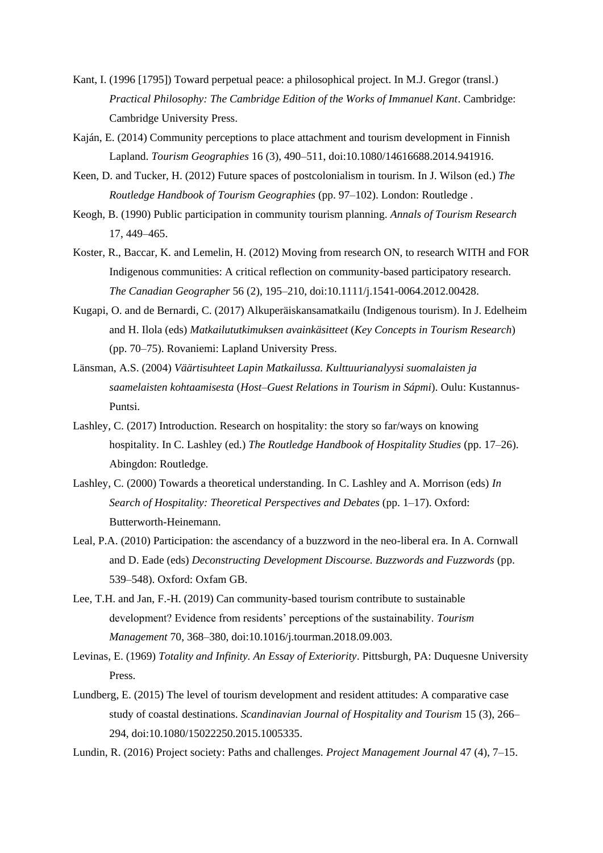- Kant, I. (1996 [1795]) Toward perpetual peace: a philosophical project. In M.J. Gregor (transl.) *Practical Philosophy: The Cambridge Edition of the Works of Immanuel Kant*. Cambridge: Cambridge University Press.
- Kaján, E. (2014) Community perceptions to place attachment and tourism development in Finnish Lapland. *Tourism Geographies* 16 (3), 490–511, doi:10.1080/14616688.2014.941916.
- Keen, D. and Tucker, H. (2012) Future spaces of postcolonialism in tourism. In J. Wilson (ed.) *The Routledge Handbook of Tourism Geographies* (pp. 97–102). London: Routledge .
- Keogh, B. (1990) Public participation in community tourism planning. *Annals of Tourism Research* 17, 449–465.
- Koster, R., Baccar, K. and Lemelin, H. (2012) Moving from research ON, to research WITH and FOR Indigenous communities: A critical reflection on community-based participatory research. *The Canadian Geographer* 56 (2), 195–210, doi:10.1111/j.1541-0064.2012.00428.
- Kugapi, O. and de Bernardi, C. (2017) Alkuperäiskansamatkailu (Indigenous tourism). In J. Edelheim and H. Ilola (eds) *Matkailututkimuksen avainkäsitteet* (*Key Concepts in Tourism Research*) (pp. 70–75). Rovaniemi: Lapland University Press.
- Länsman, A.S. (2004) *Väärtisuhteet Lapin Matkailussa. Kulttuurianalyysi suomalaisten ja saamelaisten kohtaamisesta* (*Host–Guest Relations in Tourism in Sápmi*). Oulu: Kustannus-Puntsi.
- Lashley, C. (2017) Introduction. Research on hospitality: the story so far/ways on knowing hospitality. In C. Lashley (ed.) *The Routledge Handbook of Hospitality Studies* (pp. 17–26). Abingdon: Routledge.
- Lashley, C. (2000) Towards a theoretical understanding. In C. Lashley and A. Morrison (eds) *In Search of Hospitality: Theoretical Perspectives and Debates* (pp. 1–17). Oxford: Butterworth-Heinemann.
- Leal, P.A. (2010) Participation: the ascendancy of a buzzword in the neo-liberal era. In A. Cornwall and D. Eade (eds) *Deconstructing Development Discourse. Buzzwords and Fuzzwords* (pp. 539–548). Oxford: Oxfam GB.
- Lee, T.H. and Jan, F.-H. (2019) Can community-based tourism contribute to sustainable development? Evidence from residents' perceptions of the sustainability. *Tourism Management* 70, 368–380, do[i:10.1016/j.tourman.2018.09.003.](https://doi.org/10.1016/j.tourman.2018.09.003)
- Levinas, E. (1969) *Totality and Infinity. An Essay of Exteriority*. Pittsburgh, PA: Duquesne University Press.
- Lundberg, E. (2015) The level of tourism development and resident attitudes: A comparative case study of coastal destinations. *Scandinavian Journal of Hospitality and Tourism* 15 (3), 266– 294, doi[:10.1080/15022250.2015.1005335.](https://doi.org/10.1080/15022250.2015.1005335)
- Lundin, R. (2016) Project society: Paths and challenges. *Project Management Journal* 47 (4), 7–15.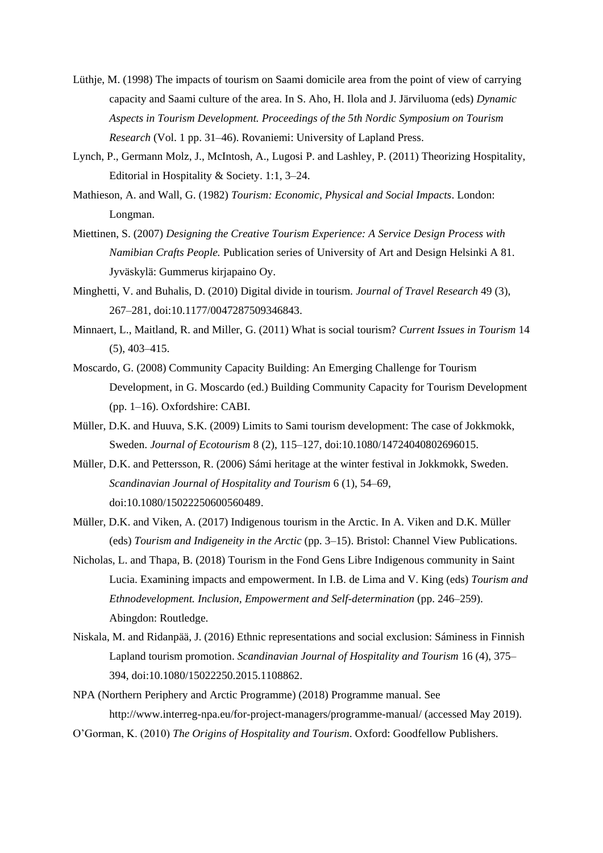- Lüthje, M. (1998) The impacts of tourism on Saami domicile area from the point of view of carrying capacity and Saami culture of the area. In S. Aho, H. Ilola and J. Järviluoma (eds) *Dynamic Aspects in Tourism Development. Proceedings of the 5th Nordic Symposium on Tourism Research* (Vol. 1 pp. 31–46). Rovaniemi: University of Lapland Press.
- Lynch, P., Germann Molz, J., McIntosh, A., Lugosi P. and Lashley, P. (2011) Theorizing Hospitality, Editorial in Hospitality & Society. 1:1, 3–24.
- Mathieson, A. and Wall, G. (1982) *Tourism: Economic, Physical and Social Impacts*. London: Longman.
- Miettinen, S. (2007) *Designing the Creative Tourism Experience: A Service Design Process with Namibian Crafts People.* Publication series of University of Art and Design Helsinki A 81. Jyväskylä: Gummerus kirjapaino Oy.
- Minghetti, V. and Buhalis, D. (2010) Digital divide in tourism. *Journal of Travel Research* 49 (3), 267–281, doi:10.1177/0047287509346843.
- Minnaert, L., Maitland, R. and Miller, G. (2011) What is social tourism? *Current Issues in Tourism* 14 (5), 403–415.
- Moscardo, G. (2008) Community Capacity Building: An Emerging Challenge for Tourism Development, in G. Moscardo (ed.) Building Community Capacity for Tourism Development (pp. 1–16). Oxfordshire: CABI.
- Müller, D.K. and Huuva, S.K. (2009) Limits to Sami tourism development: The case of Jokkmokk, Sweden. *Journal of Ecotourism* 8 (2), 115–127, doi:10.1080/14724040802696015.
- Müller, D.K. and Pettersson, R. (2006) Sámi heritage at the winter festival in Jokkmokk, Sweden. *Scandinavian Journal of Hospitality and Tourism* 6 (1), 54–69, doi:10.1080/15022250600560489.
- Müller, D.K. and Viken, A. (2017) Indigenous tourism in the Arctic. In A. Viken and D.K. Müller (eds) *Tourism and Indigeneity in the Arctic* (pp. 3–15). Bristol: Channel View Publications.
- Nicholas, L. and Thapa, B. (2018) Tourism in the Fond Gens Libre Indigenous community in Saint Lucia. Examining impacts and empowerment. In I.B. de Lima and V. King (eds) *Tourism and Ethnodevelopment. Inclusion, Empowerment and Self-determination* (pp. 246–259). Abingdon: Routledge.
- Niskala, M. and Ridanpää, J. (2016) Ethnic representations and social exclusion: Sáminess in Finnish Lapland tourism promotion. *Scandinavian Journal of Hospitality and Tourism* 16 (4), 375– 394, doi:10.1080/15022250.2015.1108862.
- NPA (Northern Periphery and Arctic Programme) (2018) Programme manual. See <http://www.interreg-npa.eu/for-project-managers/programme-manual/> (accessed May 2019).
- O'Gorman, K. (2010) *The Origins of Hospitality and Tourism*. Oxford: Goodfellow Publishers.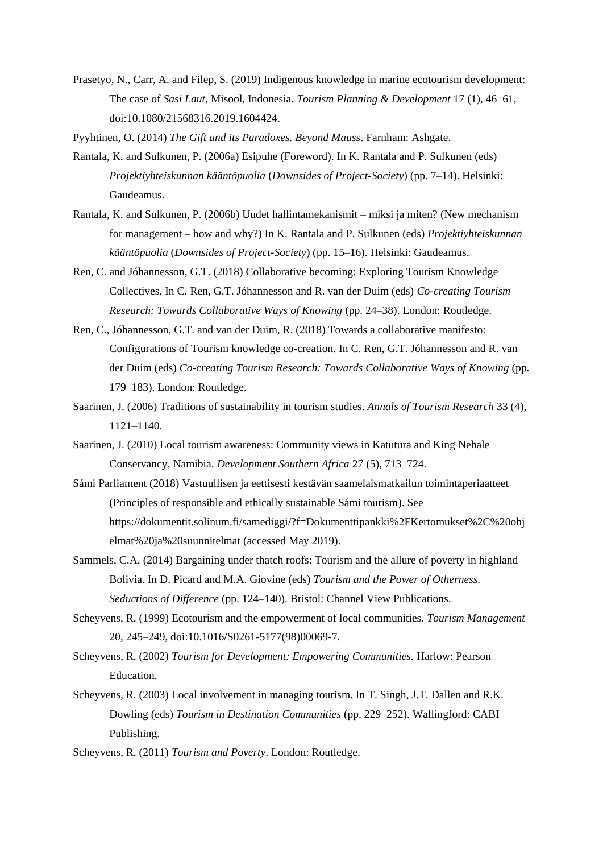- Prasetyo, N., Carr, A. and Filep, S. (2019) Indigenous knowledge in marine ecotourism development: The case of *Sasi Laut*, Misool, Indonesia. *Tourism Planning & Development* 17 (1), 46–61, doi:10.1080/21568316.2019.1604424.
- Pyyhtinen, O. (2014) *The Gift and its Paradoxes. Beyond Mauss*. Farnham: Ashgate.
- Rantala, K. and Sulkunen, P. (2006a) Esipuhe (Foreword). In K. Rantala and P. Sulkunen (eds) *Projektiyhteiskunnan kääntöpuolia* (*Downsides of Project-Society*) (pp. 7–14). Helsinki: Gaudeamus.
- Rantala, K. and Sulkunen, P. (2006b) Uudet hallintamekanismit miksi ja miten? (New mechanism for management – how and why?) In K. Rantala and P. Sulkunen (eds) *Projektiyhteiskunnan kääntöpuolia* (*Downsides of Project-Society*) (pp. 15–16). Helsinki: Gaudeamus.
- Ren, C. and Jóhannesson, G.T. (2018) Collaborative becoming: Exploring Tourism Knowledge Collectives. In C. Ren, G.T. Jóhannesson and R. van der Duim (eds) *Co-creating Tourism Research: Towards Collaborative Ways of Knowing* (pp. 24–38). London: Routledge.
- Ren, C., Jóhannesson, G.T. and van der Duim, R. (2018) Towards a collaborative manifesto: Configurations of Tourism knowledge co-creation. In C. Ren, G.T. Jóhannesson and R. van der Duim (eds) *Co-creating Tourism Research: Towards Collaborative Ways of Knowing* (pp. 179–183). London: Routledge.
- Saarinen, J. (2006) Traditions of sustainability in tourism studies. *Annals of Tourism Research* 33 (4), 1121–1140.
- Saarinen, J. (2010) Local tourism awareness: Community views in Katutura and King Nehale Conservancy, Namibia. *Development Southern Africa* 27 (5), 713–724.
- Sámi Parliament (2018) Vastuullisen ja eettisesti kestävän saamelaismatkailun toimintaperiaatteet (Principles of responsible and ethically sustainable Sámi tourism). See [https://dokumentit.solinum.fi/samediggi/?f=Dokumenttipankki%2FKertomukset%2C%20ohj](https://dokumentit.solinum.fi/samediggi/?f=Dokumenttipankki%2FKertomukset%2C%20ohjelmat%20ja%20suunnitelmat) [elmat%20ja%20suunnitelmat](https://dokumentit.solinum.fi/samediggi/?f=Dokumenttipankki%2FKertomukset%2C%20ohjelmat%20ja%20suunnitelmat) (accessed May 2019).
- Sammels, C.A. (2014) Bargaining under thatch roofs: Tourism and the allure of poverty in highland Bolivia. In D. Picard and M.A. Giovine (eds) *Tourism and the Power of Otherness. Seductions of Difference* (pp. 124–140). Bristol: Channel View Publications.
- Scheyvens, R. (1999) Ecotourism and the empowerment of local communities. *Tourism Management* 20, 245–249, [doi:10.1016/S0261-5177\(98\)00069-7.](https://doi.org/10.1016/S0261-5177(98)00069-7)
- Scheyvens, R. (2002) *Tourism for Development: Empowering Communities.* Harlow: Pearson Education.
- Scheyvens, R. (2003) Local involvement in managing tourism. In T. Singh, J.T. Dallen and R.K. Dowling (eds) *Tourism in Destination Communities* (pp. 229–252). Wallingford: CABI Publishing.
- Scheyvens, R. (2011) *Tourism and Poverty*. London: Routledge.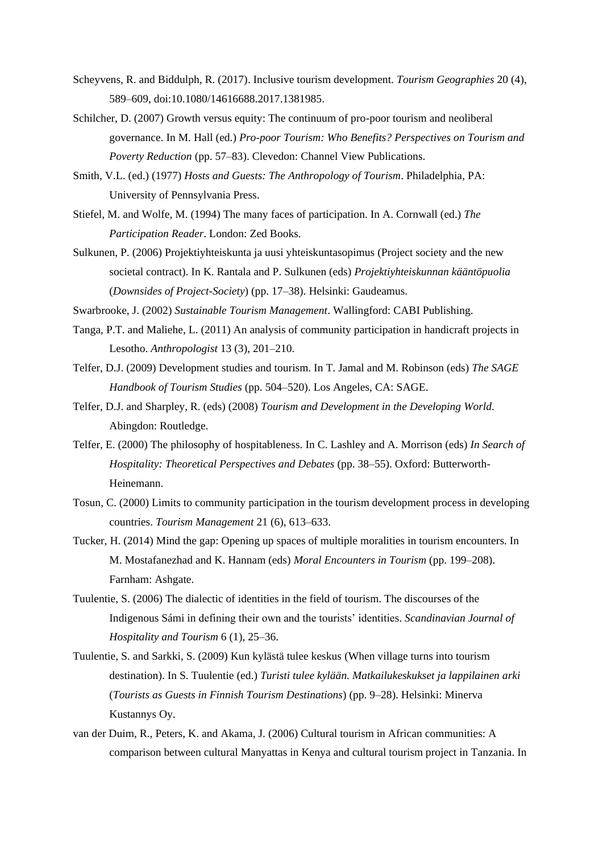- Scheyvens, R. and Biddulph, R. (2017). Inclusive tourism development. *Tourism Geographies* 20 (4), 589–609, doi:10.1080/14616688.2017.1381985.
- Schilcher, D. (2007) Growth versus equity: The continuum of pro-poor tourism and neoliberal governance. In M. Hall (ed.) *Pro-poor Tourism: Who Benefits? Perspectives on Tourism and Poverty Reduction* (pp. 57–83). Clevedon: Channel View Publications.
- Smith, V.L. (ed.) (1977) *Hosts and Guests: The Anthropology of Tourism*. Philadelphia, PA: University of Pennsylvania Press.
- Stiefel, M. and Wolfe, M. (1994) The many faces of participation. In A. Cornwall (ed.) *The Participation Reader*. London: Zed Books.
- Sulkunen, P. (2006) Projektiyhteiskunta ja uusi yhteiskuntasopimus (Project society and the new societal contract). In K. Rantala and P. Sulkunen (eds) *Projektiyhteiskunnan kääntöpuolia*  (*Downsides of Project-Society*) (pp. 17–38). Helsinki: Gaudeamus.

Swarbrooke, J. (2002) *Sustainable Tourism Management*. Wallingford: CABI Publishing.

- Tanga, P.T. and Maliehe, L. (2011) An analysis of community participation in handicraft projects in Lesotho. *Anthropologist* 13 (3), 201–210.
- Telfer, D.J. (2009) Development studies and tourism. In T. Jamal and M. Robinson (eds) *The SAGE Handbook of Tourism Studies* (pp. 504–520). Los Angeles, CA: SAGE.
- Telfer, D.J. and Sharpley, R. (eds) (2008) *Tourism and Development in the Developing World*. Abingdon: Routledge.
- Telfer, E. (2000) The philosophy of hospitableness. In C. Lashley and A. Morrison (eds) *In Search of Hospitality: Theoretical Perspectives and Debates* (pp. 38–55). Oxford: Butterworth-Heinemann.
- Tosun, C. (2000) Limits to community participation in the tourism development process in developing countries. *Tourism Management* 21 (6), 613–633.
- Tucker, H. (2014) Mind the gap: Opening up spaces of multiple moralities in tourism encounters. In M. Mostafanezhad and K. Hannam (eds) *Moral Encounters in Tourism* (pp. 199–208). Farnham: Ashgate.
- Tuulentie, S. (2006) The dialectic of identities in the field of tourism. The discourses of the Indigenous Sámi in defining their own and the tourists' identities. *Scandinavian Journal of Hospitality and Tourism* 6 (1), 25–36.
- Tuulentie, S. and Sarkki, S. (2009) Kun kylästä tulee keskus (When village turns into tourism destination). In S. Tuulentie (ed.) *Turisti tulee kylään. Matkailukeskukset ja lappilainen arki* (*Tourists as Guests in Finnish Tourism Destinations*) (pp. 9–28). Helsinki: Minerva Kustannys Oy.
- van der Duim, R., Peters, K. and Akama, J. (2006) Cultural tourism in African communities: A comparison between cultural Manyattas in Kenya and cultural tourism project in Tanzania. In